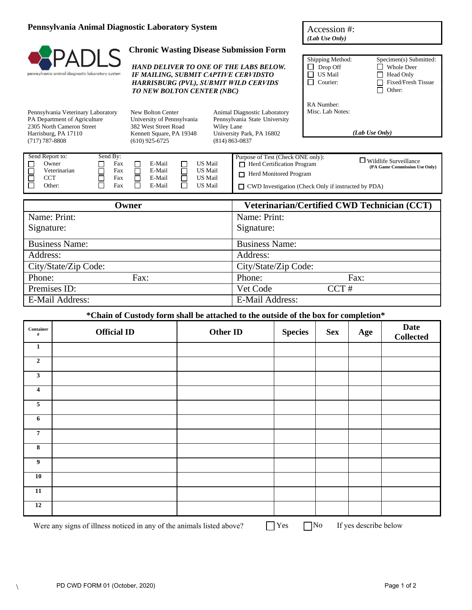#### **Pennsylvania Animal Diagnostic Laboratory System**

# pennsylvania animal diagnostic laboratory system

Pennsylvania Veterinary Laboratory PA Department of Agriculture 2305 North Cameron Street Harrisburg, PA 17110

## **Chronic Wasting Disease Submission Form**

| Accession #:   |  |
|----------------|--|
| (Lab Use Only) |  |

|                                                                                                                         |                                                                                                                            | Shipping Method:               | Specimen(s) Submitted:      |
|-------------------------------------------------------------------------------------------------------------------------|----------------------------------------------------------------------------------------------------------------------------|--------------------------------|-----------------------------|
|                                                                                                                         | <b>HAND DELIVER TO ONE OF THE LABS BELOW.</b>                                                                              | Drop Off                       | <b>Whole Deer</b>           |
| IF MAILING, SUBMIT CAPTIVE CERVIDSTO                                                                                    |                                                                                                                            | <b>US Mail</b>                 | Head Only<br>$\blacksquare$ |
| <b>HARRISBURG (PVL), SUBMIT WILD CERVIDS</b>                                                                            |                                                                                                                            | Courier:                       | Fixed/Fresh Tissue          |
| <b>TO NEW BOLTON CENTER (NBC)</b>                                                                                       |                                                                                                                            |                                | Other:<br>- 1               |
| New Bolton Center<br>University of Pennsylvania<br>382 West Street Road<br>Kennett Square, PA 19348<br>$(610)$ 925-6725 | Animal Diagnostic Laboratory<br>Pennsylvania State University<br>Wiley Lane<br>University Park, PA 16802<br>(814) 863-0837 | RA Number:<br>Misc. Lab Notes: | (Lab Use Only)              |

| Send Report to:               | Send By:          |                            |                               | Purpose of Test (Check ONE only):                                                           |                                                               |
|-------------------------------|-------------------|----------------------------|-------------------------------|---------------------------------------------------------------------------------------------|---------------------------------------------------------------|
| Owner                         | Fax               | E-Mail                     | <b>US Mail</b>                | <b>T</b> Herd Certification Program                                                         | $\Box$ Wildlife Surveillance<br>(PA Game Commission Use Only) |
| Veterinarian<br>CCT<br>Other: | Fax<br>Fax<br>Fax | E-Mail<br>E-Mail<br>E-Mail | US Mail<br>US Mail<br>US Mail | $\Box$ Herd Monitored Program<br>$\Box$ CWD Investigation (Check Only if instructed by PDA) |                                                               |

| ()wner                 | Veterinarian/Certified CWD Technician (CCT) |  |
|------------------------|---------------------------------------------|--|
| Name: Print:           | Name: Print:                                |  |
| Signature:             | Signature:                                  |  |
| <b>Business Name:</b>  | <b>Business Name:</b>                       |  |
| Address:               | Address:                                    |  |
| City/State/Zip Code:   | City/State/Zip Code:                        |  |
| Phone:<br>Fax:         | Phone:<br>Fax:                              |  |
| Premises ID:           | CCT#<br>Vet Code                            |  |
| <b>E-Mail Address:</b> | <b>E-Mail Address:</b>                      |  |

#### **\*Chain of Custody form shall be attached to the outside of the box for completion\***

| Container<br>$\#$       | <b>Official ID</b> | Other ID | <b>Species</b> | <b>Sex</b> | Age | <b>Date</b><br><b>Collected</b> |
|-------------------------|--------------------|----------|----------------|------------|-----|---------------------------------|
| $\mathbf{1}$            |                    |          |                |            |     |                                 |
| $\boldsymbol{2}$        |                    |          |                |            |     |                                 |
| $\mathbf{3}$            |                    |          |                |            |     |                                 |
| $\overline{\mathbf{4}}$ |                    |          |                |            |     |                                 |
| $\sqrt{5}$              |                    |          |                |            |     |                                 |
| 6                       |                    |          |                |            |     |                                 |
| $\pmb{7}$               |                    |          |                |            |     |                                 |
| $\overline{\mathbf{8}}$ |                    |          |                |            |     |                                 |
| $\overline{9}$          |                    |          |                |            |     |                                 |
| 10                      |                    |          |                |            |     |                                 |
| 11                      |                    |          |                |            |     |                                 |
| 12                      |                    |          |                |            |     |                                 |
|                         |                    |          |                |            |     |                                 |

Were any signs of illness noticed in any of the animals listed above?  $\Box$  Yes  $\Box$  No

If yes describe below